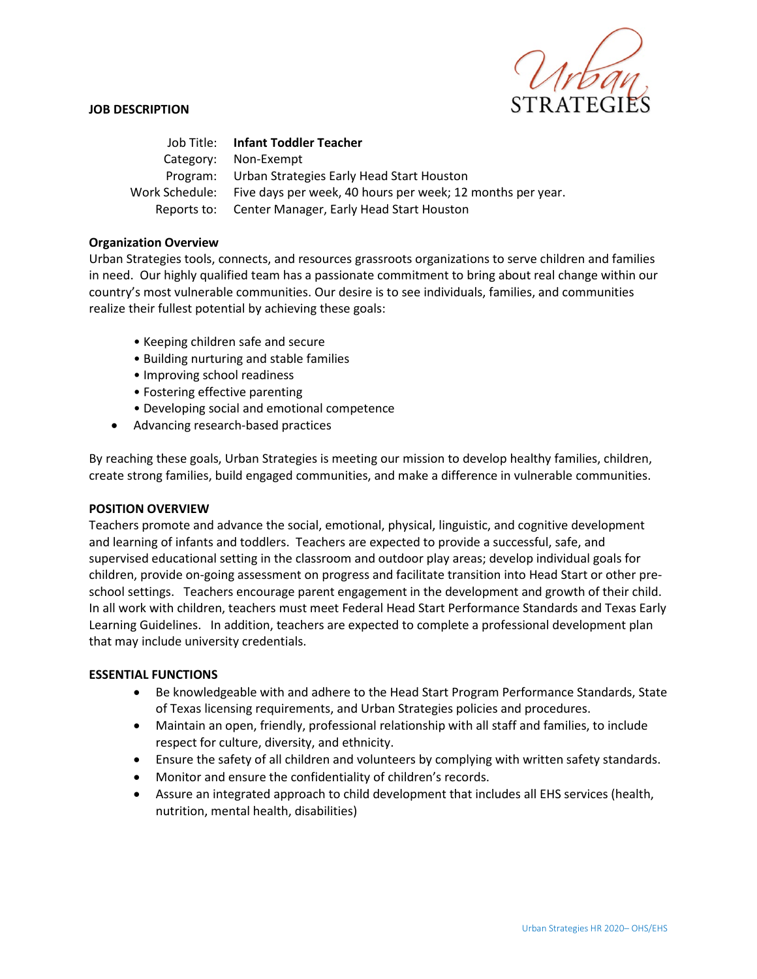

### **JOB DESCRIPTION**

Job Title: **Infant Toddler Teacher** Category: Non-Exempt Program: Urban Strategies Early Head Start Houston Work Schedule: Five days per week, 40 hours per week; 12 months per year. Reports to: Center Manager, Early Head Start Houston

### **Organization Overview**

Urban Strategies tools, connects, and resources grassroots organizations to serve children and families in need. Our highly qualified team has a passionate commitment to bring about real change within our country's most vulnerable communities. Our desire is to see individuals, families, and communities realize their fullest potential by achieving these goals:

- Keeping children safe and secure
- Building nurturing and stable families
- Improving school readiness
- Fostering effective parenting
- Developing social and emotional competence
- Advancing research-based practices

By reaching these goals, Urban Strategies is meeting our mission to develop healthy families, children, create strong families, build engaged communities, and make a difference in vulnerable communities.

#### **POSITION OVERVIEW**

Teachers promote and advance the social, emotional, physical, linguistic, and cognitive development and learning of infants and toddlers. Teachers are expected to provide a successful, safe, and supervised educational setting in the classroom and outdoor play areas; develop individual goals for children, provide on-going assessment on progress and facilitate transition into Head Start or other preschool settings. Teachers encourage parent engagement in the development and growth of their child. In all work with children, teachers must meet Federal Head Start Performance Standards and Texas Early Learning Guidelines. In addition, teachers are expected to complete a professional development plan that may include university credentials.

#### **ESSENTIAL FUNCTIONS**

- Be knowledgeable with and adhere to the Head Start Program Performance Standards, State of Texas licensing requirements, and Urban Strategies policies and procedures.
- Maintain an open, friendly, professional relationship with all staff and families, to include respect for culture, diversity, and ethnicity.
- Ensure the safety of all children and volunteers by complying with written safety standards.
- Monitor and ensure the confidentiality of children's records.
- Assure an integrated approach to child development that includes all EHS services (health, nutrition, mental health, disabilities)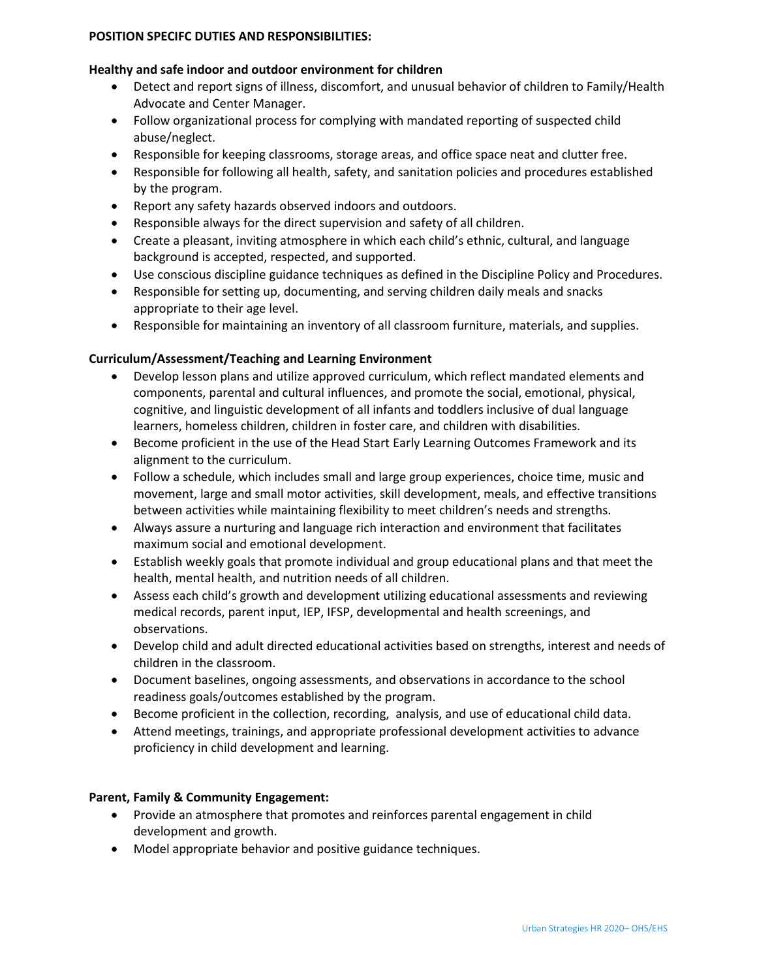### **POSITION SPECIFC DUTIES AND RESPONSIBILITIES:**

#### **Healthy and safe indoor and outdoor environment for children**

- Detect and report signs of illness, discomfort, and unusual behavior of children to Family/Health Advocate and Center Manager.
- Follow organizational process for complying with mandated reporting of suspected child abuse/neglect.
- Responsible for keeping classrooms, storage areas, and office space neat and clutter free.
- Responsible for following all health, safety, and sanitation policies and procedures established by the program.
- Report any safety hazards observed indoors and outdoors.
- Responsible always for the direct supervision and safety of all children.
- Create a pleasant, inviting atmosphere in which each child's ethnic, cultural, and language background is accepted, respected, and supported.
- Use conscious discipline guidance techniques as defined in the Discipline Policy and Procedures.
- Responsible for setting up, documenting, and serving children daily meals and snacks appropriate to their age level.
- Responsible for maintaining an inventory of all classroom furniture, materials, and supplies.

## **Curriculum/Assessment/Teaching and Learning Environment**

- Develop lesson plans and utilize approved curriculum, which reflect mandated elements and components, parental and cultural influences, and promote the social, emotional, physical, cognitive, and linguistic development of all infants and toddlers inclusive of dual language learners, homeless children, children in foster care, and children with disabilities.
- Become proficient in the use of the Head Start Early Learning Outcomes Framework and its alignment to the curriculum.
- Follow a schedule, which includes small and large group experiences, choice time, music and movement, large and small motor activities, skill development, meals, and effective transitions between activities while maintaining flexibility to meet children's needs and strengths.
- Always assure a nurturing and language rich interaction and environment that facilitates maximum social and emotional development.
- Establish weekly goals that promote individual and group educational plans and that meet the health, mental health, and nutrition needs of all children.
- Assess each child's growth and development utilizing educational assessments and reviewing medical records, parent input, IEP, IFSP, developmental and health screenings, and observations.
- Develop child and adult directed educational activities based on strengths, interest and needs of children in the classroom.
- Document baselines, ongoing assessments, and observations in accordance to the school readiness goals/outcomes established by the program.
- Become proficient in the collection, recording, analysis, and use of educational child data.
- Attend meetings, trainings, and appropriate professional development activities to advance proficiency in child development and learning.

## **Parent, Family & Community Engagement:**

- Provide an atmosphere that promotes and reinforces parental engagement in child development and growth.
- Model appropriate behavior and positive guidance techniques.